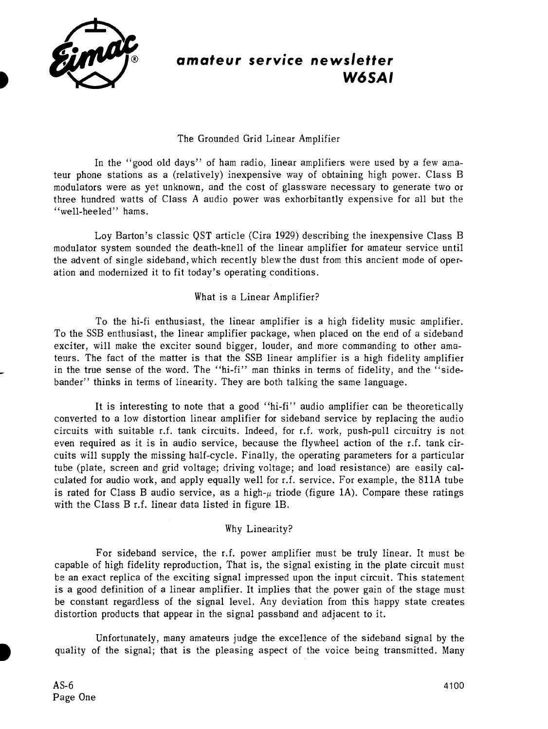

# **amateur service newsletter W6SAI**

# The Grounded Grid Linear Amplifier

In the "good old days" of ham radio, linear amplifiers were used by a few amateur phone stations as a (relatively) inexpensive way of obtaining high power. Class B modulators were as yet unknown, and the cost of glassware necessary to generate two or three hundred watts of Class A audio power was exhorbitantly expensive for all but the "well-heeled" hams.

Loy Barton's classic QST article (Cira 1929) describing the inexpensive Class B modulator system sounded the death-knell of the linear amplifier for amateur service until the advent of single sideband, which recently blew the dust from this ancient mode of operation and modernized it to fit today's operating conditions.

## What is a Linear Amplifier?

To the hi-fi enthusiast, the linear amplifier is a high fidelity music amplifier. To the SSB enthusiast, the linear amplifier package, when placed on the end of a sideband exciter, will make the exciter sound bigger, louder, and more commanding to other amateurs. The fact of the matter is that the SSB linear amplifier is a high fidelity amplifier in the true sense of the word. The "hi-fi" man thinks in terms of fidelity, and the "sidebander" thinks in terms of linearity. They are both talking the same language.

It is interesting to note that a good "hi-fi" audio amplifier can be theoretically converted to a low distortion linear amplifier for sideband service by replacing the audio circuits with suitable r.f. tank circuits. Indeed, for r.f. work, push-pull circuitry is not even required as it is in audio service, because the flywheel action of the r.f. tank circuits will supply the missing half-cycle. Finally, the operating parameters for a particular tube (plate, screen and grid voltage; driving voltage; and load resistance) are easily calculated for audio work, and apply equally well for r.f. service. For example, the 811A tube is rated for Class B audio service, as a high- $\mu$  triode (figure 1A). Compare these ratings with the Class B r.f. linear data listed in figure 1B.

## Why Linearity?

For sideband service, the r.f. power amplifier must be truly linear. It must be capable of high fidelity reproduction, That is, the signal existing in the plate circuit must be an exact replica of the exciting signal impressed upon the input circuit. This statement is a good definition of a linear amplifier. It implies that the power gain of the stage must be constant regardless of the signal level. Any deviation from this happy state creates distortion products that appear in the signal passband and adjacent to it.

Unfortunately, many amateurs judge the excellence of the sideband signal by the **D** quality of the signal; that is the pleasing aspect of the voice being transmitted. Many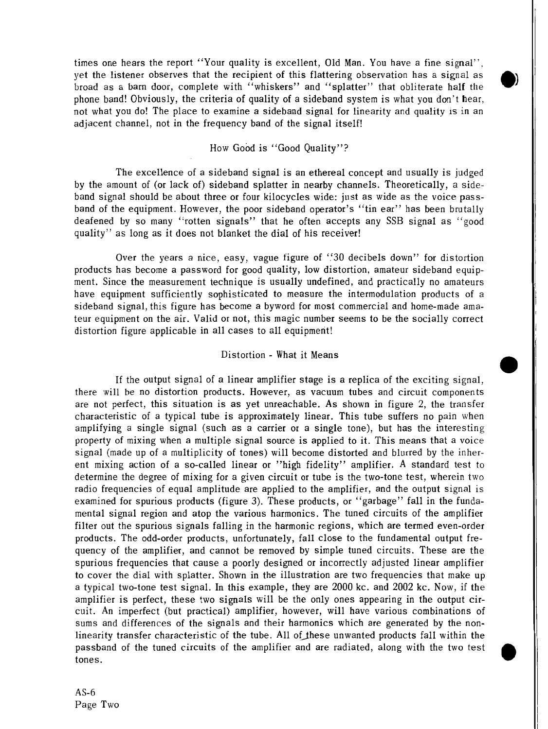times one hears the report "Your quality is excellent, Old Man. You have a fine signal", yet the listener observes that the recipient of this flattering observation has a signal as broad as a barn door, complete with "whiskers" and "splatter" that obliterate half the phone band! Obviously, the criteria of quality of a sideband system is what you don't hear, not what you do! The place to examine a sideband signal for linearity and quality is in an adjacent channel, not in the frequency band of the signal itself!

## How Good is "Good Quality"?

The excellence of a sideband signal is an ethereal concept and usually is judged by the amount of (or lack of) sideband splatter in nearby channels. Theoretically, a sideband signal should be about three or four kilocycles wide: just as wide as the voice passband of the equipment. However, the poor sideband operator's "tin ear" has been brutally deafened by so many "rotten signals" that he often accepts any SSB signal as "good quality" as long as it does not blanket the dial of his receiver!

Over the years a nice, easy, vague figure of "30 decibels down" for distortion products has become a password for good quality, low distortion, amateur sideband equipment. Since the measurement technique is usually undefined, and practically no amateurs have equipment sufficiently sophisticated to measure the intermodulation products of a sideband signal, this figure has become a byword for most commercial and home-made amateur equipment on the air. Valid or not, this magic number seems to be the socially correct distortion figure applicable in all cases to all equipment!

## Distortion - What it Means

If the output signal of a linear amplifier stage is a replica of the exciting signal, there will be no distortion products. However, as vacuum tubes and circuit components are not perfect, this situation is as yet unreachable. As shown in figure 2, the transfer characteristic of a typical tube is approximately linear. This tube suffers no pain when amplifying a single signal (such as a carrier or a single tone), but has the interesting property of mixing when a multiple signal source is applied to it. This means that a voice signal (made up of a multiplicity of tones) will become distorted and blurred by the inherent mixing action of a so-called linear or "high fidelity" amplifier. A standard test to determine the degree of mixing for a given circuit or tube is the two-tone test, wherein two radio frequencies of equal amplitude are applied to the amplifier, and the output signal is examined for spurious products (figure 3). These products, or "garbage" fall in the fundamental signal region and atop the various harmonics. The tuned circuits of the amplifier filter out the spurious signals falling in the harmonic regions, which are termed even-order products. The odd-order products, unfortunately, fall close to the fundamental output frequency of the amplifier, and cannot be removed by simple tuned circuits. These are the spurious frequencies that cause a poorly designed or incorrectly adjusted linear amplifier to cover the dial with splatter. Shown in the illustration are two frequencies that make up a typical two-tone test signal. In this example, they are 2000 kc. and 2002 kc. Now, if the amplifier is perfect, these two signals will be the only ones appearing in the output circuit. An imperfect (but practical) amplifier, however, will have various combinations of sums and differences of the signals and their harmonics which are generated by the nonlinearity transfer characteristic of the tube. All of these unwanted products fall within the passband of the tuned circuits of the amplifier and are radiated, along with the two test tones.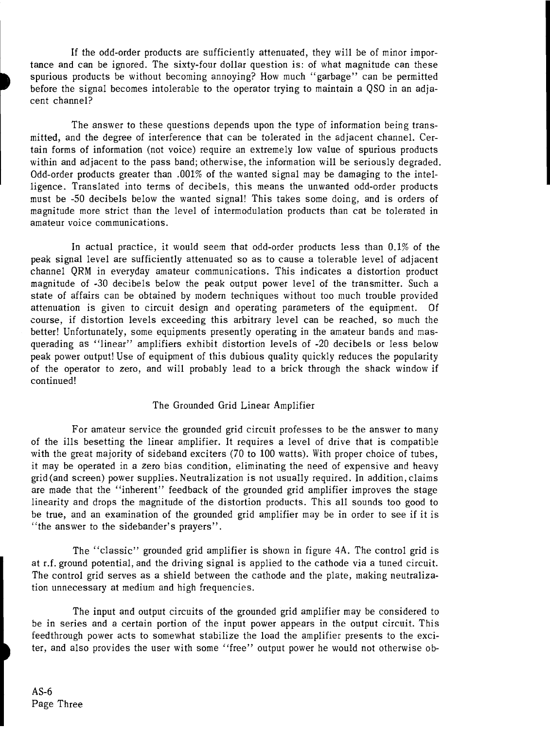If the odd-order products are sufficiently attenuated, they will be of minor importance and can be ignored. The sixty-four dollar question is: of what magnitude can these spurious products be without becoming annoying? How much "garbage" can be permitted before the signal becomes intolerable to the operator trying to maintain a QSO in an adjacent channel?

The answer to these questions depends upon the type of information being transmitted, and the degree of interference that can be tolerated in the sdjacent channel. Certain forms of information (not voice) require an extremely low value of spurious products within and adjacent to the pass band; otherwise, the information will be seriously degraded. Odd-order products greater than .001% of the wanted signal may be damaging to the intelligence. Translated into terms of decibels, this means the unwanted odd-order products must be -50 decibels below the wanted signal! This takes some doing, and is orders of magnitude more strict than the level of intermodulation products than cat be tolerated in amateur voice communications.

In actual practice, it would seem that odd-order products less than 0.1% of the peak signal level are sufficiently attenuated so as to cause a tolerable level of adjacent channel QRM in everyday amateur communications. This indicates a distortion product magnitude of -30 decibels below the peak output power level of the transmitter. Such a state of affairs can be obtained by modern techniques without too much trouble provided attenuation is given to circuit design and operating parameters of the equipment. Of course, if distortion levels exceeding this arbitrary level can be reached, so much the better! Unfortunately, some equipments presently operating in the amateur bands and masquerading as "linear" amplifiers exhibit distortion levels of -20 decibels or less below peak power output! Use of equipment of this dubious quality quickly reduces the popularity of the operator to zero, and will probably lead to a brick through the shack window if continued continued!

#### The Grounded Grid Linear Amplifier

For amateur service the grounded grid circuit professes to be the answer to many of the ills besetting the linear amplifier. It requires a level of drive that is compatible with the great majority of sideband exciters (70 to 100 watts). With proper choice of tubes, it may be operated in a zero bias condition, eliminating the need of expensive and heavy grid (and screen) power supplies. Neutralization is not usually required. In addition, claims are made that the "inherent" feedback of the grounded grid amplifier improves the stage linearity and drops the magnitude of the distortion products. This all sounds too good to be true, and an examination of the grounded grid amplifier may be in order to see if it is "the answer to the sidebander's prayers".

The "classic" grounded grid amplifier is shown in figure **4A.** The control grid is at r.f. ground potential, and the driving signal is applied to the cathode via a tuned circuit. The control grid serves as a shield between the cathode and the plate, making neutralization unnecessary at medium and high frequencies.

The input and output circuits of the grounded grid amplifier may be considered to be in series and a certain portion of the input power appears in the output circuit. This feedthrough power acts to somewhat stabilize the load the amplifier presents to the exci- ) ter, and also provides the user with some "free" output power he would not otherwise ob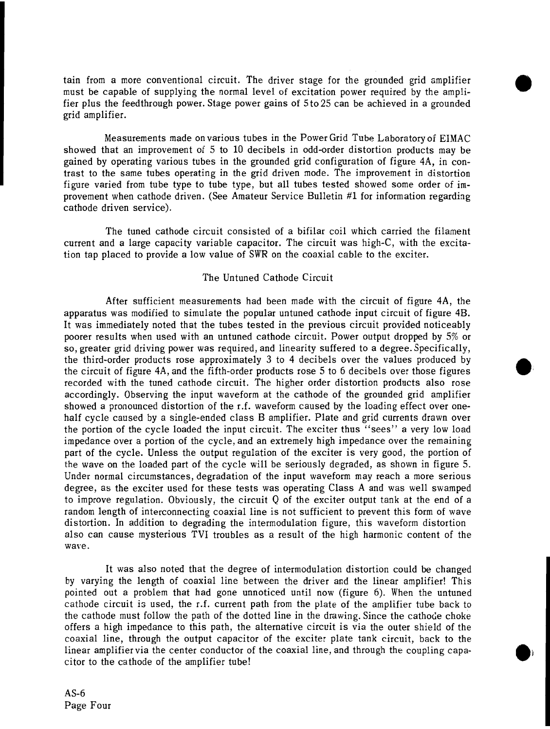tain from a more conventional circuit. The driver stage for the grounded grid amplifier must be capable of supplying the normal level of excitation power required by the amplifier plus the feedthrough power. Stage power gains of 5to 25 can be achieved in a grounded grid amplifier.

Measurements made on various tubes in the Power Grid Tube Laboratoryoi EIMAC showed that an improvement of 5 to 10 decibels in odd-order distortion products may be gained by operating various tubes in the grounded grid configuration of figure 4A, in contrast to the same tubes operating in the grid driven mode. The improvement in distortion figure varied from tube type to tube type, but all tubes tested showed some order of improvement when cathode driven. (See Amateur Service Bulletin **#1** for information regarding cathode driven service).

The tuned cathode circuit consisted of a bifilar coil which carried the filament current and a large capacity variable capacitor. The circuit was high-C, with the excitation tap placed to provide a low value of SWR on the coaxial cable to the exciter.

## The Untuned Cathode Circuit

After sufficient measurements had been made with the circuit of figure 4A, the apparatus was modified to simulate the popular untuned cathode input circuit of figure 4B. It was immediately noted that the tubes tested in the previous circuit provided noticeably poorer results when used with an untuned cathode circuit. Power output dropped by 5% or so, greater grid driving power was required, and linearity suffered to a degree. Specifically, the third-order products rose approximately **3** to 4 decibels over the values produced by the circuit of figure 4A, and the fifth-order products rose 5 to 6 decibels over those figures recorded with the tuned cathode circuit. The higher order distortion products also rose accordingly. Observing the input waveform at the cathode of the grounded grid amplifier showed a pronounced distortion of the r.f. waveform caused by the loading effect over onehalf cycle caused by a single-ended class B amplifier. Plate and grid currents drawn over the portion of the cycle loaded the input circuit. The exciter thus "sees" a very low load impedance over a portion of the cycle, and an extremely high impedance over the remaining part of the cycle. Unless the output regulation of the exciter is very good, the portion of the wave on the loaded part of the cycle will be seriously degraded, as shown in figure 5. Under normal circumstances, degradation of the input waveform may reach a more serious degree, as the exciter used for these tests was operating Class A and was well swamped to improve regulation. Obviously, the circuit Q of the exciter output tank at the end of a random length of interconnecting coaxial line is not sufficient to prevent this form of wave distortion. In addition to degrading the intermodulation figure, this waveform distortion also can cause mysterious TVI troubles as a result of the high harmonic content of the wave.

It was also noted that the degree of intermodulation distortion could be changed by varying the length of coaxial line between the driver and the linear amplifier! This pointed out a problem that had gone unnoticed until now (figure 6). When the untuned cathode circuit is used, the r.f. current path from the plate of the amplifier tube back to the cathode must follow the path of the dotted line in the drawing. Since the cathode choke offers a high impedance to this path, the alternative circuit is via the outer shield of the coaxial line, through the output capacitor of the exciter plate tank circuit, back to the linear amplifier via the center conductor of the coaxial line, and through the coupling capacitor to the cathode of the amplifier tube!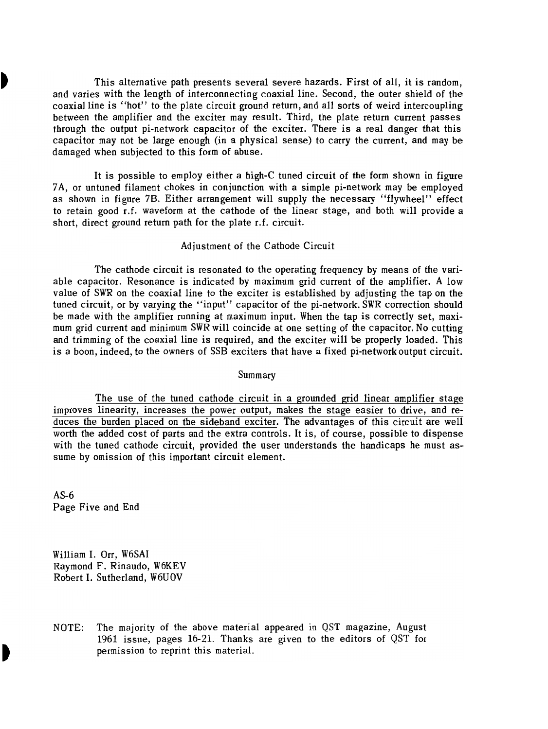**b** This alternative path presents several severe hazards. First of all, it is random, and varies with the length of interconnecting coaxial line. Second, the outer shield of the coaxial line is "hot" to the plate circuit ground return, and all sorts of weird intercoupling between the amplifier and the exciter may result. Third, the plate return current passes through the output pi-network capacitor of the exciter. There is a real danger that this capacitor may not be large enough (in a physical sense) to carry the current, and may be damaged when subjected to this form of abuse.

> It is possible to employ either a high-C tuned circuit of the form shown in figure 7A, or untuned filament chokes in conjunction with a simple pi-network may be employed as shown in figure 7B. Either arrangement will supply the necessary "flywheel" effect to retain good r.f. waveform at the cathode of the linear stage, and both will provide a short, direct ground return path for the plate r.f. circuit.

#### Adjustment of the Cathode Circuit

The cathode circuit is resonated to the operating frequency by means of the variable capacitor. Resonance is indicated by maximum grid current of the amplifier. A low value of SWR on the coaxial line to the exciter is established by adjusting the tap on the tuned circuit, or by varying the "input" capacitor of the pi-network. SWR correction should be made with the amplifier running at maximum input. When the tap is correctly set, maximum grid current and minimum SWR will coincide at one setting of the capacitor. No cutting and trimming of the coaxial line is required, and the exciter will be properly loaded. This is a boon, indeed, to the owners of SSB exciters that have a fixed pi-networkoutput circuit.

#### Summary

The use of the tuned cathode circuit in a grounded grid linear amplifier stage improves linearity, increases the power output, makes the stage easier to drive, and reduces the burden placed on the sideband exciter. The advantages of this circuit are well worth the added cost of parts and the extra controls. It is, of course, possible to dispense with the tuned cathode circuit, provided the user understands the handicaps he must assume by omission of this important circuit element.

AS-6 Page Five and End

William I. Orr, W6SAI Raymond F. Rinaudo, W6KEV Robert I. Sutherland, W6UOV

NOTE: The majority of the above material appeared in QST magazine, August 1961 issue, pages 16-21. Thanks are given to the editors of QST for permission to reprint this material.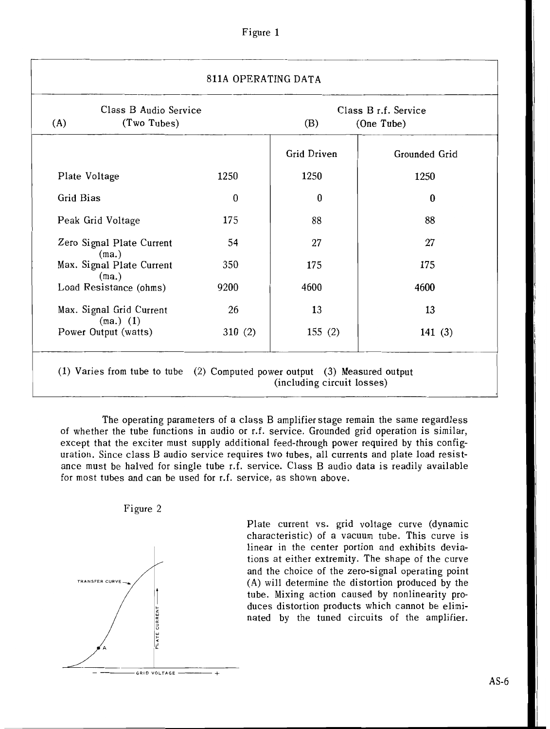| Figure |  |
|--------|--|
|--------|--|

| (A)                                | Class B Audio Service<br>(Two Tubes)    |        | Class B r.f. Service<br>(One Tube)<br>(B) |               |
|------------------------------------|-----------------------------------------|--------|-------------------------------------------|---------------|
|                                    |                                         |        | <b>Grid Driven</b>                        | Grounded Grid |
| Plate Voltage                      |                                         | 1250   | 1250                                      | 1250          |
| Grid Bias                          |                                         | 0      | 0                                         | $\bf{0}$      |
| Peak Grid Voltage                  |                                         | 175    | 88                                        | 88            |
| Zero Signal Plate Current<br>(ma.) |                                         | 54     | 27                                        | 27            |
|                                    | Max. Signal Plate Current<br>(ma.)      | 350    | 175                                       | 175           |
|                                    | Load Resistance (ohms)                  | 9200   | 4600                                      | 4600          |
|                                    | Max. Signal Grid Current<br>$(ma.)$ (1) | 26     | 13                                        | 13            |
|                                    | Power Output (watts)                    | 310(2) | 155(2)                                    | 141(3)        |

The operating parameters of a class B amplifier stage remain the same regardless of whether the tube functions in audio or r.f. service. Grounded grid operation is similar, except that the exciter must supply additional feed-through power required by this configuration. Since class B audio service requires two tubes, all currents and plate load resistance must be halved for single tube r.f. service. Class B audio data is readily available for most tubes and can be used for r.f. service, as shown above.





Plate current vs. grid voltage curve (dynamic characteristic) of a vacuum tube. This curve is linear in the center portion and exhibits deviations at either extremity. The shape of the curve and the choice of the zero-signal operating point **(A)** will determine the distortion produced by the tube. Mixing action caused by nonlinearity produces distortion products which cannot be eliminated by the tuned circuits of the amplifier.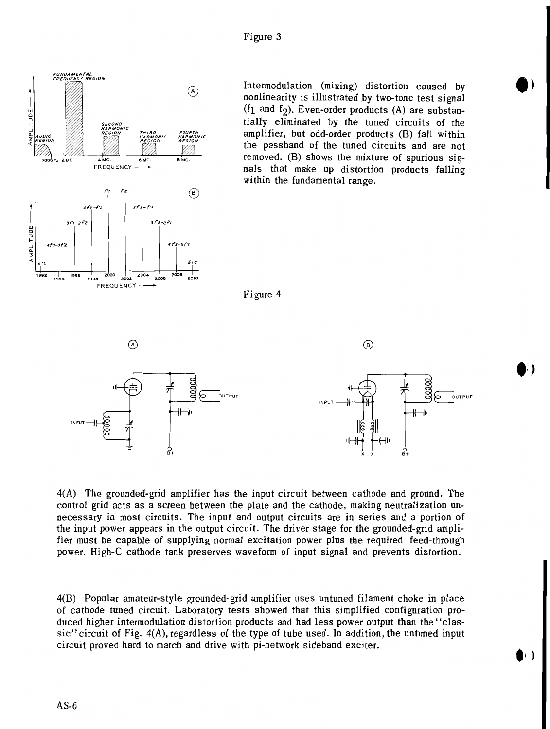

Intermodulation (mixing) distortion caused by nonlinearity is illustrated by two-tone test signal  $(f_1$  and  $f_2$ ). Even-order products (A) are substantially eliminated by the tuned circuits of the amplifier, but odd-order products (B) fall within the passband of the tuned circuits and are not removed. (B) shows the mixture of spurious sig- $\frac{1}{4}$ inc.  $\frac{1}{6}$  inc.  $\frac{1}{6}$  and  $\frac{1}{6}$  removed. (B) shows the mixture of spurious sigwithin the fundamental range.

Figure 4



4(A) The grounded-grid amplifier has the input circuit between cathode and ground. The control grid acts as a screen between the plate and the cathode, making neutralization unnecessary in most circuits. The input and output circuits are in series and a portion of the input power appears in the output circuit. The driver stage for the grounded-grid amplifier must be capable of supplying normal excitation power plus the required feed-through power. High-C cathode tank preserves waveform of input signal and prevents distortion.

4(B) Popular amateur-style grounded-grid amplifier uses untuned filament choke in place of cathode tuned circuit. Laboratory tests showed that this simplified configuration produced higher intermodulation distortion products and had less power output than the "classic" circuit of Fig.  $4(A)$ , regardless of the type of tube used. In addition, the untuned input circuit proved hard to match and drive with pi-network sideband exciter.

 $\left| \ \right|$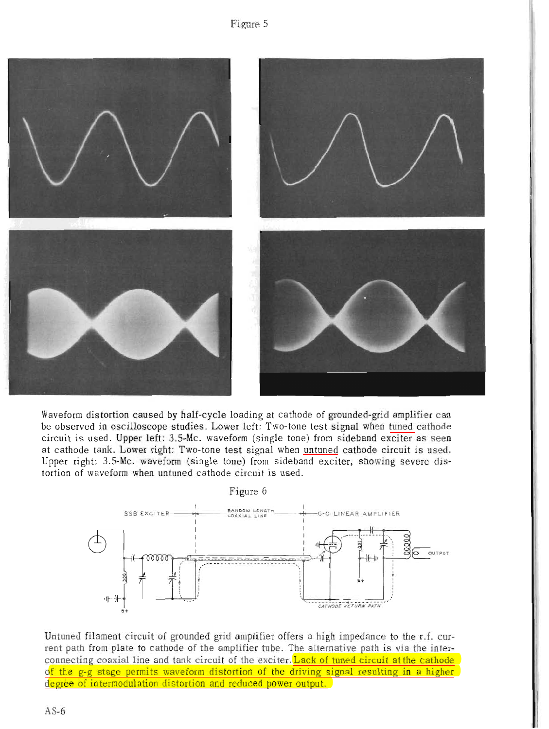Figure 5



Waveform distortion caused by half-cycle loading at cathode of grounded-grid amplifier can be observed in oscilloscope studies. Lower left: Two-tone test signal when tuned cathode circuit is used. Upper left: 3.5-Mc. waveform (single tone) from sideband exciter as seen at cathode tank. Lower right: Two-tone test signal when untuned cathode circuit is used. Upper right: 3.5-Mc. waveform (single tone) from sideband exciter, showing severe distortion of waveform when untuned cathode circuit is used.



Untuned filament circuit of grounded grid amplifier offers a high impedance to the r.f. current path from plate to cathode of the amplifier tube. The alternative path is via the interconnecting coaxial line and tank circuit of the exciter. Lack of tuned circuit at the cathode of the g-g stage permits waveform distortion of the driving signal resulting in a higher degree of intermodulation distortion and reduced power output.